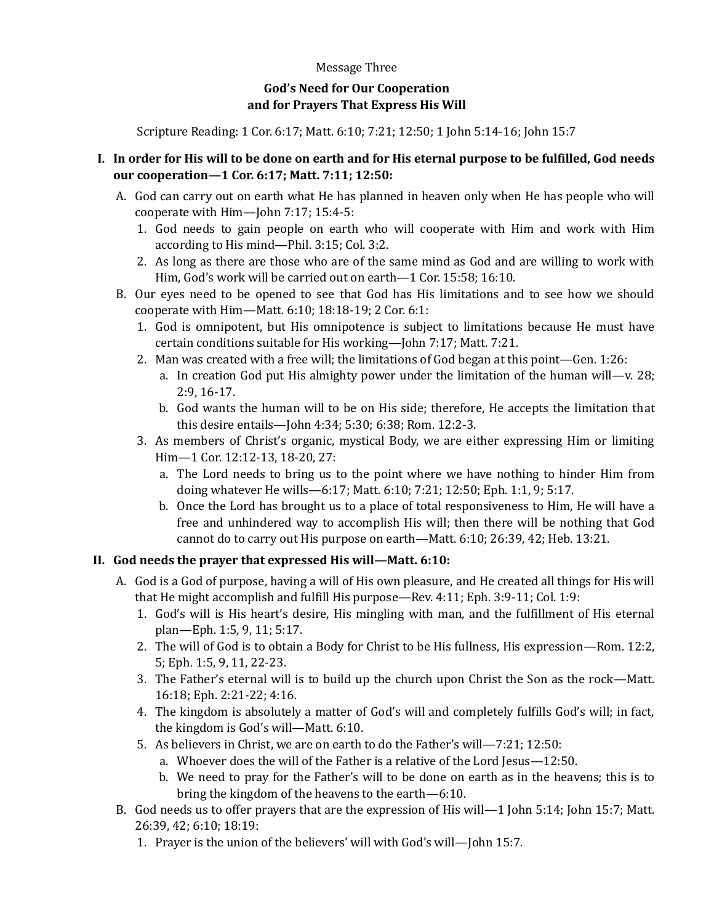## Message Three

## **God's Need for Our Cooperation and for Prayers That Express His Will**

Scripture Reading: 1 Cor. 6:17; Matt. 6:10; 7:21; 12:50; 1 John 5:14-16; John 15:7

## **I. In order for His will to be done on earth and for His eternal purpose to be fulfilled, God needs our cooperation—1 Cor. 6:17; Matt. 7:11; 12:50:**

- A. God can carry out on earth what He has planned in heaven only when He has people who will cooperate with Him—John 7:17; 15:4-5:
	- 1. God needs to gain people on earth who will cooperate with Him and work with Him according to His mind—Phil. 3:15; Col. 3:2.
	- 2. As long as there are those who are of the same mind as God and are willing to work with Him, God's work will be carried out on earth—1 Cor. 15:58; 16:10.
- B. Our eyes need to be opened to see that God has His limitations and to see how we should cooperate with Him—Matt. 6:10; 18:18-19; 2 Cor. 6:1:
	- 1. God is omnipotent, but His omnipotence is subject to limitations because He must have certain conditions suitable for His working—John 7:17; Matt. 7:21.
	- 2. Man was created with a free will; the limitations of God began at this point—Gen. 1:26:
		- a. In creation God put His almighty power under the limitation of the human will—v. 28; 2:9, 16-17.
		- b. God wants the human will to be on His side; therefore, He accepts the limitation that this desire entails—John 4:34; 5:30; 6:38; Rom. 12:2-3.
	- 3. As members of Christ's organic, mystical Body, we are either expressing Him or limiting Him—1 Cor. 12:12-13, 18-20, 27:
		- a. The Lord needs to bring us to the point where we have nothing to hinder Him from doing whatever He wills—6:17; Matt. 6:10; 7:21; 12:50; Eph. 1:1, 9; 5:17.
		- b. Once the Lord has brought us to a place of total responsiveness to Him, He will have a free and unhindered way to accomplish His will; then there will be nothing that God cannot do to carry out His purpose on earth—Matt. 6:10; 26:39, 42; Heb. 13:21.

## **II. God needs the prayer that expressed His will—Matt. 6:10:**

- A. God is a God of purpose, having a will of His own pleasure, and He created all things for His will that He might accomplish and fulfill His purpose—Rev. 4:11; Eph. 3:9-11; Col. 1:9:
	- 1. God's will is His heart's desire, His mingling with man, and the fulfillment of His eternal plan—Eph. 1:5, 9, 11; 5:17.
	- 2. The will of God is to obtain a Body for Christ to be His fullness, His expression—Rom. 12:2, 5; Eph. 1:5, 9, 11, 22-23.
	- 3. The Father's eternal will is to build up the church upon Christ the Son as the rock—Matt. 16:18; Eph. 2:21-22; 4:16.
	- 4. The kingdom is absolutely a matter of God's will and completely fulfills God's will; in fact, the kingdom is God's will—Matt. 6:10.
	- 5. As believers in Christ, we are on earth to do the Father's will—7:21; 12:50:
		- a. Whoever does the will of the Father is a relative of the Lord Jesus—12:50.
		- b. We need to pray for the Father's will to be done on earth as in the heavens; this is to bring the kingdom of the heavens to the earth—6:10.
- B. God needs us to offer prayers that are the expression of His will—1 John 5:14; John 15:7; Matt. 26:39, 42; 6:10; 18:19:
	- 1. Prayer is the union of the believers' will with God's will—John 15:7.